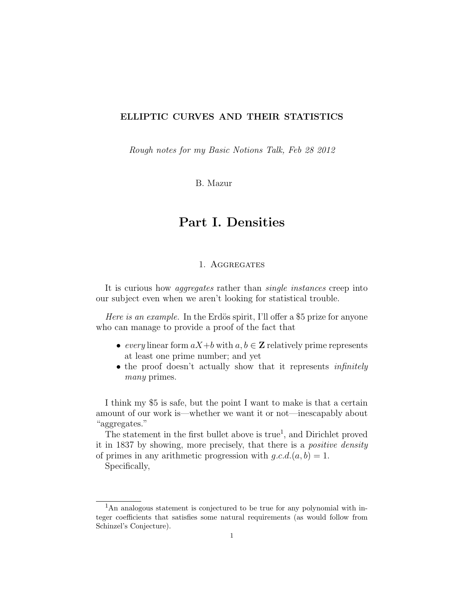Rough notes for my Basic Notions Talk, Feb 28 2012

B. Mazur

# Part I. Densities

### 1. Aggregates

It is curious how *aggregates* rather than *single instances* creep into our subject even when we aren't looking for statistical trouble.

*Here is an example.* In the Erdös spirit, I'll offer a \$5 prize for anyone who can manage to provide a proof of the fact that

- every linear form  $aX+b$  with  $a, b \in \mathbb{Z}$  relatively prime represents at least one prime number; and yet
- the proof doesn't actually show that it represents *infinitely* many primes.

I think my \$5 is safe, but the point I want to make is that a certain amount of our work is—whether we want it or not—inescapably about "aggregates."

The statement in the first bullet above is true<sup>1</sup>, and Dirichlet proved it in 1837 by showing, more precisely, that there is a positive density of primes in any arithmetic progression with  $q.c.d.(a, b) = 1$ .

Specifically,

<sup>1</sup>An analogous statement is conjectured to be true for any polynomial with integer coefficients that satisfies some natural requirements (as would follow from Schinzel's Conjecture).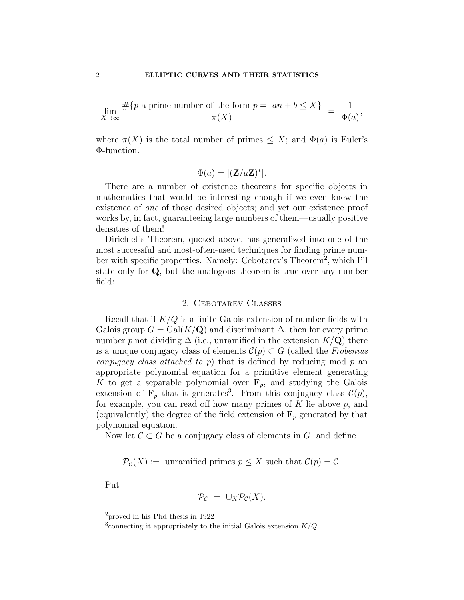$$
\lim_{X \to \infty} \frac{\#\{p \text{ a prime number of the form } p = an + b \le X\}}{\pi(X)} = \frac{1}{\Phi(a)},
$$

where  $\pi(X)$  is the total number of primes  $\leq X$ ; and  $\Phi(a)$  is Euler's Φ-function.

$$
\Phi(a) = |(\mathbf{Z}/a\mathbf{Z})^*|.
$$

There are a number of existence theorems for specific objects in mathematics that would be interesting enough if we even knew the existence of one of those desired objects; and yet our existence proof works by, in fact, guaranteeing large numbers of them—usually positive densities of them!

Dirichlet's Theorem, quoted above, has generalized into one of the most successful and most-often-used techniques for finding prime number with specific properties. Namely: Cebotarev's Theorem<sup>2</sup>, which I'll state only for Q, but the analogous theorem is true over any number field:

#### 2. Cebotarev Classes

Recall that if  $K/Q$  is a finite Galois extension of number fields with Galois group  $G = \text{Gal}(K/\mathbf{Q})$  and discriminant  $\Delta$ , then for every prime number p not dividing  $\Delta$  (i.e., unramified in the extension  $K/\mathbf{Q}$ ) there is a unique conjugacy class of elements  $\mathcal{C}(p) \subset G$  (called the Frobenius *conjugacy class attached to p*) that is defined by reducing mod  $p$  and appropriate polynomial equation for a primitive element generating K to get a separable polynomial over  $\mathbf{F}_p$ , and studying the Galois extension of  $\mathbf{F}_p$  that it generates<sup>3</sup>. From this conjugacy class  $\mathcal{C}(p)$ , for example, you can read off how many primes of  $K$  lie above  $p$ , and (equivalently) the degree of the field extension of  $\mathbf{F}_p$  generated by that polynomial equation.

Now let  $\mathcal{C} \subset G$  be a conjugacy class of elements in G, and define

$$
\mathcal{P}_{\mathcal{C}}(X) := \text{unramified primes } p \leq X \text{ such that } \mathcal{C}(p) = \mathcal{C}.
$$

Put

$$
\mathcal{P}_{\mathcal{C}} = \cup_X \mathcal{P}_{\mathcal{C}}(X).
$$

 $\rm ^2$  proved in his Phd thesis in 1922

<sup>&</sup>lt;sup>3</sup> connecting it appropriately to the initial Galois extension  $K/Q$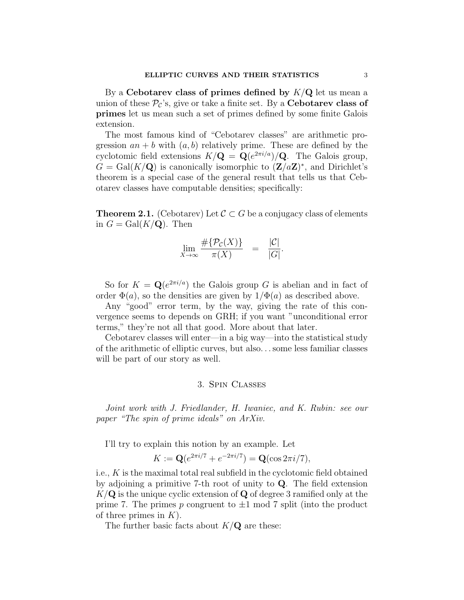By a Cebotarev class of primes defined by  $K/Q$  let us mean a union of these  $\mathcal{P}_{\mathcal{C}}$ 's, give or take a finite set. By a **Cebotarev class of** primes let us mean such a set of primes defined by some finite Galois extension.

The most famous kind of "Cebotarev classes" are arithmetic progression  $an + b$  with  $(a, b)$  relatively prime. These are defined by the cyclotomic field extensions  $K/\mathbf{Q} = \mathbf{Q}(e^{2\pi i/a})/\mathbf{Q}$ . The Galois group,  $G = \text{Gal}(K/\mathbf{Q})$  is canonically isomorphic to  $(\mathbf{Z}/a\mathbf{Z})^*$ , and Dirichlet's theorem is a special case of the general result that tells us that Cebotarev classes have computable densities; specifically:

**Theorem 2.1.** (Cebotarev) Let  $\mathcal{C} \subset G$  be a conjugacy class of elements in  $G = \text{Gal}(K/\mathbf{Q})$ . Then

$$
\lim_{X \to \infty} \frac{\# \{ \mathcal{P}_{\mathcal{C}}(X) \}}{\pi(X)} = \frac{|\mathcal{C}|}{|G|}.
$$

So for  $K = \mathbf{Q}(e^{2\pi i/a})$  the Galois group G is abelian and in fact of order  $\Phi(a)$ , so the densities are given by  $1/\Phi(a)$  as described above.

Any "good" error term, by the way, giving the rate of this convergence seems to depends on GRH; if you want "unconditional error terms," they're not all that good. More about that later.

Cebotarev classes will enter—in a big way—into the statistical study of the arithmetic of elliptic curves, but also. . .some less familiar classes will be part of our story as well.

### 3. Spin Classes

Joint work with J. Friedlander, H. Iwaniec, and K. Rubin: see our paper "The spin of prime ideals" on ArXiv.

I'll try to explain this notion by an example. Let

$$
K := \mathbf{Q}(e^{2\pi i/7} + e^{-2\pi i/7}) = \mathbf{Q}(\cos 2\pi i/7),
$$

i.e., K is the maximal total real subfield in the cyclotomic field obtained by adjoining a primitive 7-th root of unity to Q. The field extension  $K/\mathbf{Q}$  is the unique cyclic extension of  $\mathbf{Q}$  of degree 3 ramified only at the prime 7. The primes p congruent to  $\pm 1$  mod 7 split (into the product of three primes in  $K$ ).

The further basic facts about  $K/\mathbf{Q}$  are these: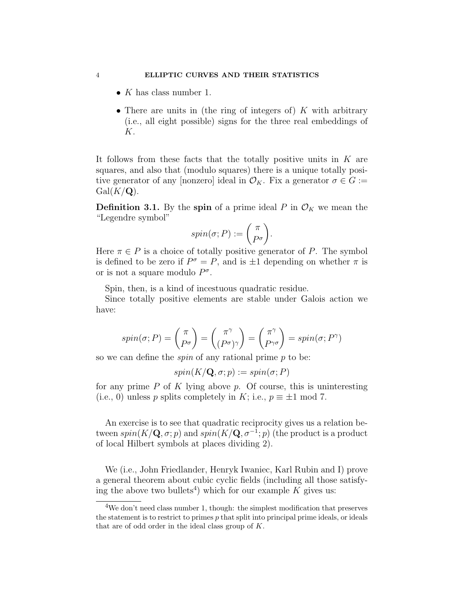- $K$  has class number 1.
- There are units in (the ring of integers of)  $K$  with arbitrary (i.e., all eight possible) signs for the three real embeddings of K.

It follows from these facts that the totally positive units in  $K$  are squares, and also that (modulo squares) there is a unique totally positive generator of any [nonzero] ideal in  $\mathcal{O}_K$ . Fix a generator  $\sigma \in G :=$  $Gal(K/\mathbf{Q}).$ 

**Definition 3.1.** By the spin of a prime ideal P in  $\mathcal{O}_K$  we mean the "Legendre symbol"

$$
spin(\sigma; P) := \begin{pmatrix} \pi \\ P^{\sigma} \end{pmatrix}.
$$

Here  $\pi \in P$  is a choice of totally positive generator of P. The symbol is defined to be zero if  $P^{\sigma} = P$ , and is  $\pm 1$  depending on whether  $\pi$  is or is not a square modulo  $P^{\sigma}$ .

Spin, then, is a kind of incestuous quadratic residue.

Since totally positive elements are stable under Galois action we have:

$$
spin(\sigma; P) = \begin{pmatrix} \pi \\ P^{\sigma} \end{pmatrix} = \begin{pmatrix} \pi^{\gamma} \\ (P^{\sigma})^{\gamma} \end{pmatrix} = \begin{pmatrix} \pi^{\gamma} \\ P^{\gamma \sigma} \end{pmatrix} = spin(\sigma; P^{\gamma})
$$

so we can define the *spin* of any rational prime  $p$  to be:

$$
spin(K/\mathbf{Q}, \sigma; p) := spin(\sigma; P)
$$

for any prime  $P$  of  $K$  lying above  $p$ . Of course, this is uninteresting (i.e., 0) unless p splits completely in K; i.e.,  $p \equiv \pm 1 \mod 7$ .

An exercise is to see that quadratic reciprocity gives us a relation between  $spin(K/\mathbf{Q}, \sigma; p)$  and  $spin(K/\mathbf{Q}, \sigma^{-1}; p)$  (the product is a product of local Hilbert symbols at places dividing 2).

We (i.e., John Friedlander, Henryk Iwaniec, Karl Rubin and I) prove a general theorem about cubic cyclic fields (including all those satisfying the above two bullets<sup>4</sup>) which for our example  $K$  gives us:

<sup>&</sup>lt;sup>4</sup>We don't need class number 1, though: the simplest modification that preserves the statement is to restrict to primes  $p$  that split into principal prime ideals, or ideals that are of odd order in the ideal class group of K.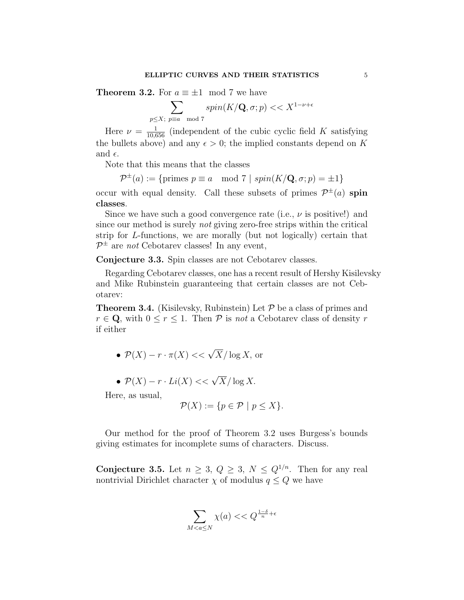**Theorem 3.2.** For  $a \equiv \pm 1 \mod 7$  we have

$$
\sum_{p \le X; \ p \equiv a \mod 7} spin(K/\mathbf{Q}, \sigma; p) << X^{1-\nu+\epsilon}
$$

Here  $\nu = \frac{1}{10,656}$  (independent of the cubic cyclic field K satisfying the bullets above) and any  $\epsilon > 0$ ; the implied constants depend on K and  $\epsilon$ .

Note that this means that the classes

$$
\mathcal{P}^{\pm}(a) := \{ \text{primes } p \equiv a \mod 7 \mid spin(K/\mathbf{Q}, \sigma; p) = \pm 1 \}
$$

occur with equal density. Call these subsets of primes  $\mathcal{P}^{\pm}(a)$  spin classes.

Since we have such a good convergence rate (i.e.,  $\nu$  is positive!) and since our method is surely not giving zero-free strips within the critical strip for L-functions, we are morally (but not logically) certain that  $\mathcal{P}^{\pm}$  are *not* Cebotarev classes! In any event,

Conjecture 3.3. Spin classes are not Cebotarev classes.

Regarding Cebotarev classes, one has a recent result of Hershy Kisilevsky and Mike Rubinstein guaranteeing that certain classes are not Cebotarev:

**Theorem 3.4.** (Kisilevsky, Rubinstein) Let  $P$  be a class of primes and  $r \in \mathbf{Q}$ , with  $0 \leq r \leq 1$ . Then  $P$  is not a Cebotarev class of density r if either

•  $\mathcal{P}(X) - r \cdot \pi(X) \ll \sqrt{X} / \log X$ , or

• 
$$
\mathcal{P}(X) - r \cdot Li(X) \ll \sqrt{X} / \log X
$$
.

Here, as usual,

$$
\mathcal{P}(X) := \{ p \in \mathcal{P} \mid p \le X \}.
$$

Our method for the proof of Theorem 3.2 uses Burgess's bounds giving estimates for incomplete sums of characters. Discuss.

Conjecture 3.5. Let  $n \geq 3$ ,  $Q \geq 3$ ,  $N \leq Q^{1/n}$ . Then for any real nontrivial Dirichlet character  $\chi$  of modulus  $q \leq Q$  we have

$$
\sum_{M < a \le N} \chi(a) < < Q^{\frac{1-\delta}{n} + \epsilon}
$$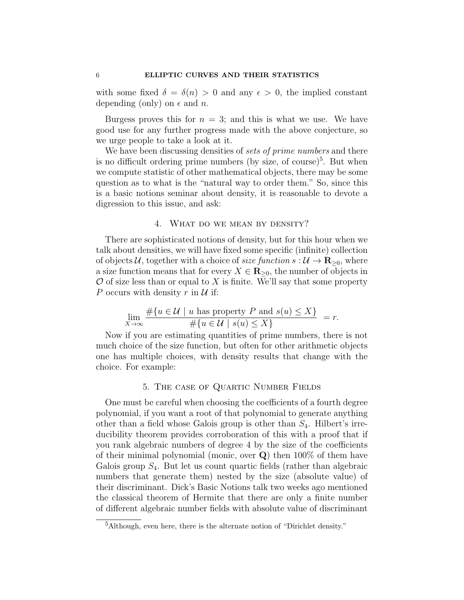with some fixed  $\delta = \delta(n) > 0$  and any  $\epsilon > 0$ , the implied constant depending (only) on  $\epsilon$  and n.

Burgess proves this for  $n = 3$ ; and this is what we use. We have good use for any further progress made with the above conjecture, so we urge people to take a look at it.

We have been discussing densities of sets of prime numbers and there is no difficult ordering prime numbers (by size, of course)<sup>5</sup>. But when we compute statistic of other mathematical objects, there may be some question as to what is the "natural way to order them." So, since this is a basic notions seminar about density, it is reasonable to devote a digression to this issue, and ask:

### 4. What do we mean by density?

There are sophisticated notions of density, but for this hour when we talk about densities, we will have fixed some specific (infinite) collection of objects U, together with a choice of *size function*  $s: U \to \mathbf{R}_{\geq 0}$ , where a size function means that for every  $X \in \mathbf{R}_{\geq 0}$ , the number of objects in  $\mathcal O$  of size less than or equal to X is finite. We'll say that some property P occurs with density r in  $\mathcal U$  if:

$$
\lim_{X \to \infty} \frac{\#\{u \in \mathcal{U} \mid u \text{ has property } P \text{ and } s(u) \le X\}}{\#\{u \in \mathcal{U} \mid s(u) \le X\}} = r.
$$

Now if you are estimating quantities of prime numbers, there is not much choice of the size function, but often for other arithmetic objects one has multiple choices, with density results that change with the choice. For example:

### 5. The case of Quartic Number Fields

One must be careful when choosing the coefficients of a fourth degree polynomial, if you want a root of that polynomial to generate anything other than a field whose Galois group is other than  $S_4$ . Hilbert's irreducibility theorem provides corroboration of this with a proof that if you rank algebraic numbers of degree 4 by the size of the coefficients of their minimal polynomial (monic, over Q) then 100% of them have Galois group  $S_4$ . But let us count quartic fields (rather than algebraic numbers that generate them) nested by the size (absolute value) of their discriminant. Dick's Basic Notions talk two weeks ago mentioned the classical theorem of Hermite that there are only a finite number of different algebraic number fields with absolute value of discriminant

<sup>5</sup>Although, even here, there is the alternate notion of "Dirichlet density."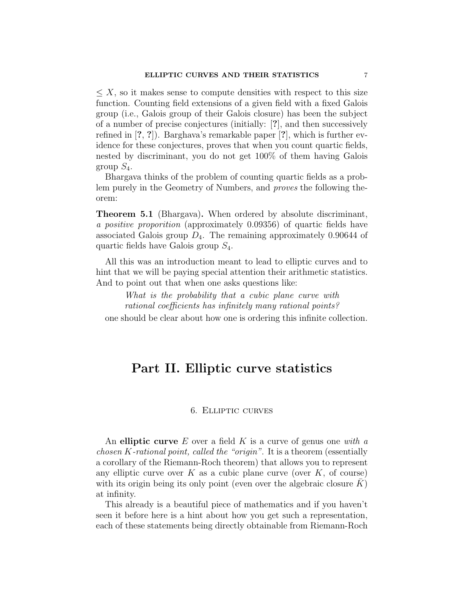$\leq X$ , so it makes sense to compute densities with respect to this size function. Counting field extensions of a given field with a fixed Galois group (i.e., Galois group of their Galois closure) has been the subject of a number of precise conjectures (initially: [?], and then successively refined in [?, ?]). Barghava's remarkable paper [?], which is further evidence for these conjectures, proves that when you count quartic fields, nested by discriminant, you do not get 100% of them having Galois group  $S_4$ .

Bhargava thinks of the problem of counting quartic fields as a problem purely in the Geometry of Numbers, and proves the following theorem:

Theorem 5.1 (Bhargava). When ordered by absolute discriminant, a positive proporition (approximately 0.09356) of quartic fields have associated Galois group  $D_4$ . The remaining approximately 0.90644 of quartic fields have Galois group  $S_4$ .

All this was an introduction meant to lead to elliptic curves and to hint that we will be paying special attention their arithmetic statistics. And to point out that when one asks questions like:

What is the probability that a cubic plane curve with rational coefficients has infinitely many rational points? one should be clear about how one is ordering this infinite collection.

# Part II. Elliptic curve statistics

### 6. Elliptic curves

An elliptic curve  $E$  over a field  $K$  is a curve of genus one with a chosen K-rational point, called the "origin". It is a theorem (essentially a corollary of the Riemann-Roch theorem) that allows you to represent any elliptic curve over K as a cubic plane curve (over  $K$ , of course) with its origin being its only point (even over the algebraic closure  $K$ ) at infinity.

This already is a beautiful piece of mathematics and if you haven't seen it before here is a hint about how you get such a representation, each of these statements being directly obtainable from Riemann-Roch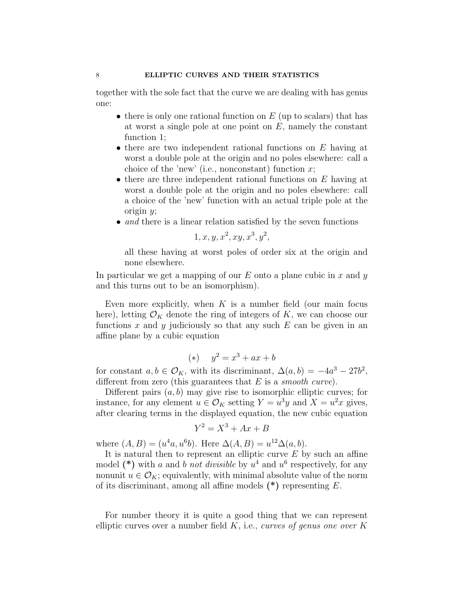together with the sole fact that the curve we are dealing with has genus one:

- there is only one rational function on  $E$  (up to scalars) that has at worst a single pole at one point on  $E$ , namely the constant function 1;
- there are two independent rational functions on  $E$  having at worst a double pole at the origin and no poles elsewhere: call a choice of the 'new' (i.e., nonconstant) function  $x$ ;
- there are three independent rational functions on  $E$  having at worst a double pole at the origin and no poles elsewhere: call a choice of the 'new' function with an actual triple pole at the origin  $y$ ;
- and there is a linear relation satisfied by the seven functions

$$
1, x, y, x^2, xy, x^3, y^2,
$$

all these having at worst poles of order six at the origin and none elsewhere.

In particular we get a mapping of our  $E$  onto a plane cubic in x and y and this turns out to be an isomorphism).

Even more explicitly, when  $K$  is a number field (our main focus here), letting  $\mathcal{O}_K$  denote the ring of integers of K, we can choose our functions x and y judiciously so that any such  $E$  can be given in an affine plane by a cubic equation

$$
(*) \t y^2 = x^3 + ax + b
$$

for constant  $a, b \in \mathcal{O}_K$ , with its discriminant,  $\Delta(a, b) = -4a^3 - 27b^2$ , different from zero (this guarantees that  $E$  is a *smooth curve*).

Different pairs  $(a, b)$  may give rise to isomorphic elliptic curves; for instance, for any element  $u \in \mathcal{O}_K$  setting  $Y = u^3y$  and  $X = u^2x$  gives, after clearing terms in the displayed equation, the new cubic equation

$$
Y^2 = X^3 + Ax + B
$$

where  $(A, B) = (u^4a, u^6b)$ . Here  $\Delta(A, B) = u^{12}\Delta(a, b)$ .

It is natural then to represent an elliptic curve  $E$  by such an affine model (\*) with a and b not divisible by  $u^4$  and  $u^6$  respectively, for any nonunit  $u \in \mathcal{O}_K$ ; equivalently, with minimal absolute value of the norm of its discriminant, among all affine models  $(*)$  representing E.

For number theory it is quite a good thing that we can represent elliptic curves over a number field  $K$ , i.e., curves of genus one over K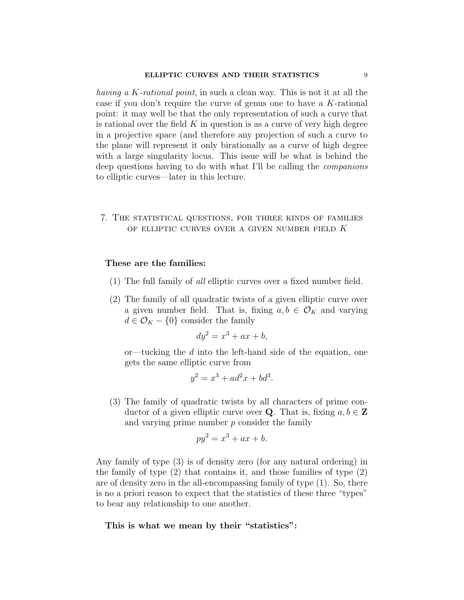having a K-rational point, in such a clean way. This is not it at all the case if you don't require the curve of genus one to have a K-rational point: it may well be that the only representation of such a curve that is rational over the field  $K$  in question is as a curve of very high degree in a projective space (and therefore any projection of such a curve to the plane will represent it only birationally as a curve of high degree with a large singularity locus. This issue will be what is behind the deep questions having to do with what I'll be calling the companions to elliptic curves—later in this lecture.

### 7. The statistical questions, for three kinds of families OF ELLIPTIC CURVES OVER A GIVEN NUMBER FIELD  $K$

### These are the families:

- (1) The full family of all elliptic curves over a fixed number field.
- (2) The family of all quadratic twists of a given elliptic curve over a given number field. That is, fixing  $a, b \in \mathcal{O}_K$  and varying  $d \in \mathcal{O}_K - \{0\}$  consider the family

$$
dy^2 = x^3 + ax + b,
$$

or—tucking the  $d$  into the left-hand side of the equation, one gets the same elliptic curve from

$$
y^2 = x^3 + ad^2x + bd^3.
$$

(3) The family of quadratic twists by all characters of prime conductor of a given elliptic curve over **Q**. That is, fixing  $a, b \in \mathbb{Z}$ and varying prime number  $p$  consider the family

$$
py^2 = x^3 + ax + b.
$$

Any family of type (3) is of density zero (for any natural ordering) in the family of type (2) that contains it, and those families of type (2) are of density zero in the all-encompassing family of type (1). So, there is no a priori reason to expect that the statistics of these three "types" to bear any relationship to one another.

This is what we mean by their "statistics":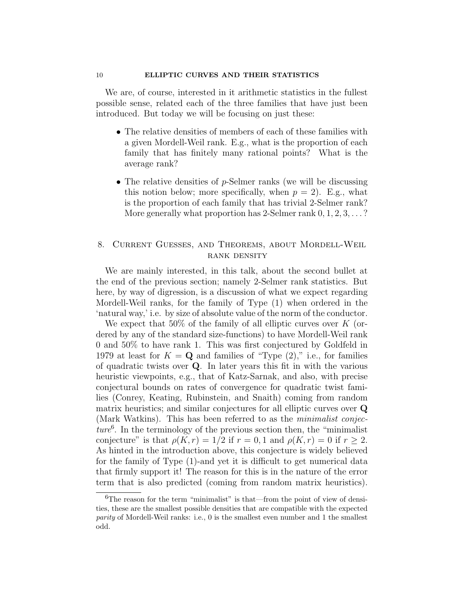We are, of course, interested in it arithmetic statistics in the fullest possible sense, related each of the three families that have just been introduced. But today we will be focusing on just these:

- The relative densities of members of each of these families with a given Mordell-Weil rank. E.g., what is the proportion of each family that has finitely many rational points? What is the average rank?
- The relative densities of p-Selmer ranks (we will be discussing this notion below; more specifically, when  $p = 2$ ). E.g., what is the proportion of each family that has trivial 2-Selmer rank? More generally what proportion has 2-Selmer rank  $0, 1, 2, 3, \ldots$ ?

## 8. Current Guesses, and Theorems, about Mordell-Weil rank density

We are mainly interested, in this talk, about the second bullet at the end of the previous section; namely 2-Selmer rank statistics. But here, by way of digression, is a discussion of what we expect regarding Mordell-Weil ranks, for the family of Type (1) when ordered in the 'natural way,' i.e. by size of absolute value of the norm of the conductor.

We expect that 50% of the family of all elliptic curves over  $K$  (ordered by any of the standard size-functions) to have Mordell-Weil rank 0 and 50% to have rank 1. This was first conjectured by Goldfeld in 1979 at least for  $K = \mathbf{Q}$  and families of "Type  $(2)$ ," i.e., for families of quadratic twists over Q. In later years this fit in with the various heuristic viewpoints, e.g., that of Katz-Sarnak, and also, with precise conjectural bounds on rates of convergence for quadratic twist families (Conrey, Keating, Rubinstein, and Snaith) coming from random matrix heuristics; and similar conjectures for all elliptic curves over Q (Mark Watkins). This has been referred to as the minimalist conjec $ture<sup>6</sup>$ . In the terminology of the previous section then, the "minimalist" conjecture" is that  $\rho(K,r) = 1/2$  if  $r = 0, 1$  and  $\rho(K,r) = 0$  if  $r \geq 2$ . As hinted in the introduction above, this conjecture is widely believed for the family of Type (1)-and yet it is difficult to get numerical data that firmly support it! The reason for this is in the nature of the error term that is also predicted (coming from random matrix heuristics).

 ${}^{6}$ The reason for the term "minimalist" is that—from the point of view of densities, these are the smallest possible densities that are compatible with the expected parity of Mordell-Weil ranks: i.e., 0 is the smallest even number and 1 the smallest odd.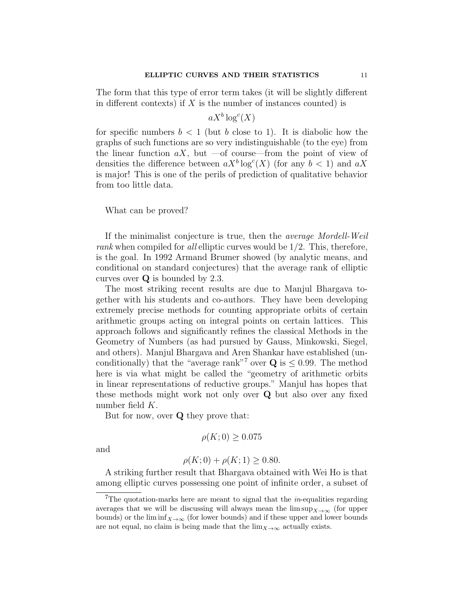The form that this type of error term takes (it will be slightly different in different contexts) if  $X$  is the number of instances counted) is

$$
aX^b \log^c(X)
$$

for specific numbers  $b < 1$  (but b close to 1). It is diabolic how the graphs of such functions are so very indistinguishable (to the eye) from the linear function  $aX$ , but —of course—from the point of view of densities the difference between  $aX^b \log^c(X)$  (for any  $b < 1$ ) and  $aX$ is major! This is one of the perils of prediction of qualitative behavior from too little data.

#### What can be proved?

If the minimalist conjecture is true, then the average Mordell-Weil rank when compiled for all elliptic curves would be 1/2. This, therefore, is the goal. In 1992 Armand Brumer showed (by analytic means, and conditional on standard conjectures) that the average rank of elliptic curves over Q is bounded by 2.3.

The most striking recent results are due to Manjul Bhargava together with his students and co-authors. They have been developing extremely precise methods for counting appropriate orbits of certain arithmetic groups acting on integral points on certain lattices. This approach follows and significantly refines the classical Methods in the Geometry of Numbers (as had pursued by Gauss, Minkowski, Siegel, and others). Manjul Bhargava and Aren Shankar have established (unconditionally) that the "average rank"<sup>7</sup> over  $Q$  is  $\leq 0.99$ . The method here is via what might be called the "geometry of arithmetic orbits in linear representations of reductive groups." Manjul has hopes that these methods might work not only over Q but also over any fixed number field K.

But for now, over  $Q$  they prove that:

$$
\rho(K;0) \ge 0.075
$$

and

$$
\rho(K; 0) + \rho(K; 1) \ge 0.80.
$$

A striking further result that Bhargava obtained with Wei Ho is that among elliptic curves possessing one point of infinite order, a subset of

<sup>&</sup>lt;sup>7</sup>The quotation-marks here are meant to signal that the  $in$ -equalities regarding averages that we will be discussing will always mean the  $\limsup_{X\to\infty}$  (for upper bounds) or the lim inf<sub>X→∞</sub> (for lower bounds) and if these upper and lower bounds are not equal, no claim is being made that the  $\lim_{X\to\infty}$  actually exists.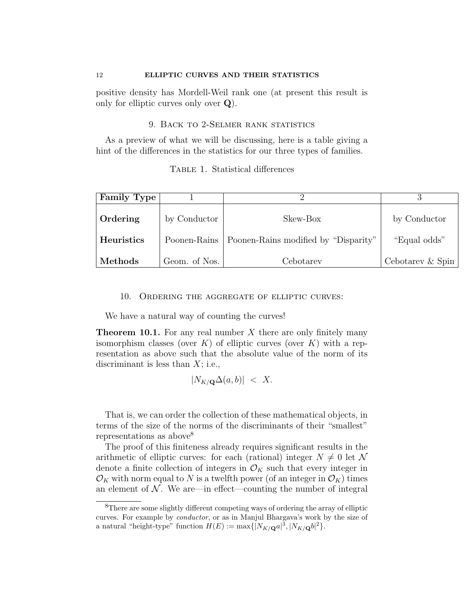positive density has Mordell-Weil rank one (at present this result is only for elliptic curves only over  $Q$ ).

### 9. BACK TO 2-SELMER RANK STATISTICS

As a preview of what we will be discussing, here is a table giving a hint of the differences in the statistics for our three types of families.

|  | TABLE 1. Statistical differences |  |
|--|----------------------------------|--|
|  |                                  |  |

| <b>Family Type</b> |               |                                                     |                  |
|--------------------|---------------|-----------------------------------------------------|------------------|
| Ordering           | by Conductor  | Skew-Box                                            | by Conductor     |
| <b>Heuristics</b>  |               | Poonen-Rains   Poonen-Rains modified by "Disparity" | "Equal odds"     |
| Methods            | Geom. of Nos. | Cebotarev                                           | Cebotarev & Spin |

### 10. Ordering the aggregate of elliptic curves:

We have a natural way of counting the curves!

**Theorem 10.1.** For any real number  $X$  there are only finitely many isomorphism classes (over K) of elliptic curves (over K) with a representation as above such that the absolute value of the norm of its discriminant is less than  $X$ ; i.e.,

 $|N_{K/\mathbf{Q}}\Delta(a, b)| < X$ .

That is, we can order the collection of these mathematical objects, in terms of the size of the norms of the discriminants of their "smallest" representations as above<sup>8</sup>

The proof of this finiteness already requires significant results in the arithmetic of elliptic curves: for each (rational) integer  $N \neq 0$  let N denote a finite collection of integers in  $\mathcal{O}_K$  such that every integer in  $\mathcal{O}_K$  with norm equal to N is a twelfth power (of an integer in  $\mathcal{O}_K$ ) times an element of  $N$ . We are—in effect—counting the number of integral

 ${}^{8}{\rm There}$  are some slightly different competing ways of ordering the array of elliptic curves. For example by conductor, or as in Manjul Bhargava's work by the size of a natural "height-type" function  $H(E) := \max\{|N_{K/\mathbf{Q}}a|^3, |N_{K/\mathbf{Q}}b|^2\}.$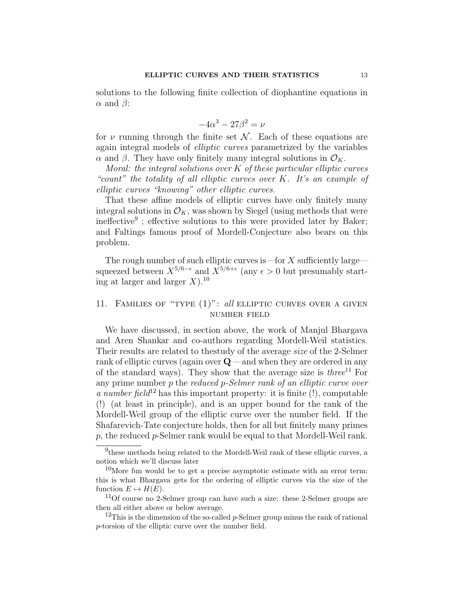solutions to the following finite collection of diophantine equations in  $\alpha$  and  $\beta$ :

$$
-4\alpha^3 - 27\beta^2 = \nu
$$

for  $\nu$  running through the finite set N. Each of these equations are again integral models of *elliptic curves* parametrized by the variables  $\alpha$  and  $\beta$ . They have only finitely many integral solutions in  $\mathcal{O}_K$ .

Moral: the integral solutions over  $K$  of these particular elliptic curves "count" the totality of all elliptic curves over K. It's an example of elliptic curves "knowing" other elliptic curves.

That these affine models of elliptic curves have only finitely many integral solutions in  $\mathcal{O}_K$ , was shown by Siegel (using methods that were ineffective<sup>9</sup>; effective solutions to this were provided later by Baker; and Faltings famous proof of Mordell-Conjecture also bears on this problem.

The rough number of such elliptic curves is—for  $X$  sufficiently large squeezed between  $X^{5/6 - \epsilon}$  and  $X^{5/6 + \epsilon}$  (any  $\epsilon > 0$  but presumably starting at larger and larger  $X$ ).<sup>10</sup>

# 11. FAMILIES OF "TYPE (1)": all ELLIPTIC CURVES OVER A GIVEN number field

We have discussed, in section above, the work of Manjul Bhargava and Aren Shankar and co-authors regarding Mordell-Weil statistics. Their results are related to thestudy of the average size of the 2-Selmer rank of elliptic curves (again over  $Q$  —and when they are ordered in any of the standard ways). They show that the average size is *three*<sup>11</sup> For any prime number p the reduced p-Selmer rank of an elliptic curve over a number field<sup>12</sup> has this important property: it is finite  $(!)$ , computable (!) (at least in principle), and is an upper bound for the rank of the Mordell-Weil group of the elliptic curve over the number field. If the Shafarevich-Tate conjecture holds, then for all but finitely many primes  $p$ , the reduced  $p$ -Selmer rank would be equal to that Mordell-Weil rank.

<sup>&</sup>lt;sup>9</sup>these methods being related to the Mordell-Weil rank of these elliptic curves, a notion which we'll discuss later

 $10$ More fun would be to get a precise asymptotic estimate with an error term; this is what Bhargava gets for the ordering of elliptic curves via the size of the function  $E \mapsto H(E)$ .

 $11$ Of course no 2-Selmer group can have such a size: these 2-Selmer groups are then all either above or below average.

<sup>&</sup>lt;sup>12</sup>This is the dimension of the so-called  $p$ -Selmer group minus the rank of rational p-torsion of the elliptic curve over the number field.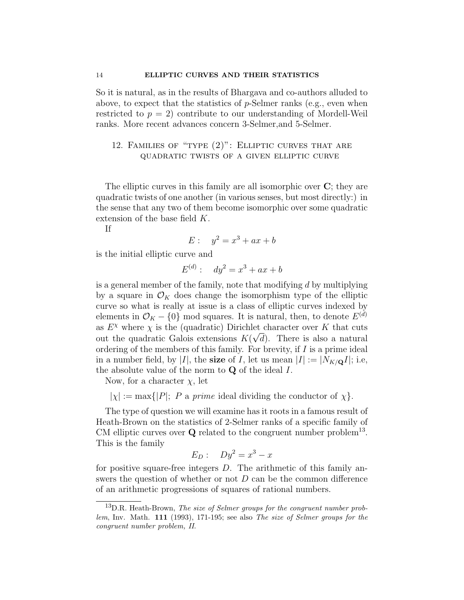So it is natural, as in the results of Bhargava and co-authors alluded to above, to expect that the statistics of  $p$ -Selmer ranks (e.g., even when restricted to  $p = 2$ ) contribute to our understanding of Mordell-Weil ranks. More recent advances concern 3-Selmer,and 5-Selmer.

# 12. Families of "type (2)": Elliptic curves that are quadratic twists of a given elliptic curve

The elliptic curves in this family are all isomorphic over  $\mathbf{C}$ ; they are quadratic twists of one another (in various senses, but most directly:) in the sense that any two of them become isomorphic over some quadratic extension of the base field K.

If

$$
E: \quad y^2 = x^3 + ax + b
$$

is the initial elliptic curve and

$$
E^{(d)}: dy^2 = x^3 + ax + b
$$

is a general member of the family, note that modifying  $d$  by multiplying by a square in  $\mathcal{O}_K$  does change the isomorphism type of the elliptic curve so what is really at issue is a class of elliptic curves indexed by elements in  $\mathcal{O}_K - \{0\}$  mod squares. It is natural, then, to denote  $E^{(d)}$ as  $E^{\chi}$  where  $\chi$  is the (quadratic) Dirichlet character over K that cuts out the quadratic Galois extensions  $K(\sqrt{d})$ . There is also a natural ordering of the members of this family. For brevity, if I is a prime ideal in a number field, by |I|, the size of I, let us mean  $|I| := |N_{K/\mathbf{Q}}I|$ ; i.e, the absolute value of the norm to  $Q$  of the ideal  $I$ .

Now, for a character  $\chi$ , let

 $|\chi| := \max\{|P|; P \text{ a prime ideal dividing the conductor of } \chi\}.$ 

The type of question we will examine has it roots in a famous result of Heath-Brown on the statistics of 2-Selmer ranks of a specific family of CM elliptic curves over  $Q$  related to the congruent number problem<sup>13</sup>. This is the family

$$
E_D: \quad Dy^2 = x^3 - x
$$

for positive square-free integers  $D$ . The arithmetic of this family answers the question of whether or not  $D$  can be the common difference of an arithmetic progressions of squares of rational numbers.

 $13D.R.$  Heath-Brown, The size of Selmer groups for the congruent number problem, Inv. Math. 111 (1993), 171-195; see also The size of Selmer groups for the congruent number problem, II.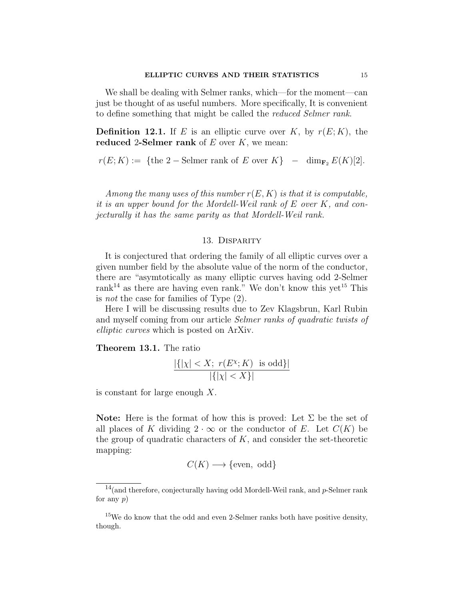We shall be dealing with Selmer ranks, which—for the moment—can just be thought of as useful numbers. More specifically, It is convenient to define something that might be called the reduced Selmer rank.

**Definition 12.1.** If E is an elliptic curve over K, by  $r(E; K)$ , the reduced 2-Selmer rank of  $E$  over  $K$ , we mean:

 $r(E; K) := \{$  the 2 – Selmer rank of E over  $K\}$  – dim<sub>F2</sub>  $E(K)[2]$ .

Among the many uses of this number  $r(E, K)$  is that it is computable, it is an upper bound for the Mordell-Weil rank of E over K, and conjecturally it has the same parity as that Mordell-Weil rank.

#### 13. Disparity

It is conjectured that ordering the family of all elliptic curves over a given number field by the absolute value of the norm of the conductor, there are "asymtotically as many elliptic curves having odd 2-Selmer rank<sup>14</sup> as there are having even rank." We don't know this yet<sup>15</sup> This is not the case for families of Type (2).

Here I will be discussing results due to Zev Klagsbrun, Karl Rubin and myself coming from our article Selmer ranks of quadratic twists of elliptic curves which is posted on ArXiv.

Theorem 13.1. The ratio

$$
\frac{|\{| \chi | < X; \ r(E^{\chi}; K) \ \text{ is odd}\}|}{|\{| \chi | < X\}|}
$$

is constant for large enough X.

**Note:** Here is the format of how this is proved: Let  $\Sigma$  be the set of all places of K dividing  $2 \cdot \infty$  or the conductor of E. Let  $C(K)$  be the group of quadratic characters of  $K$ , and consider the set-theoretic mapping:

$$
C(K) \longrightarrow \{\text{even}, \text{odd}\}\
$$

 $14$ (and therefore, conjecturally having odd Mordell-Weil rank, and p-Selmer rank for any  $p$ )

 $15$ We do know that the odd and even 2-Selmer ranks both have positive density, though.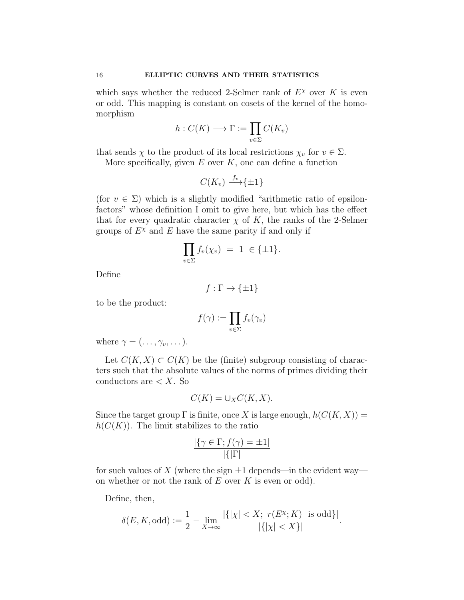which says whether the reduced 2-Selmer rank of  $E^{\chi}$  over K is even or odd. This mapping is constant on cosets of the kernel of the homomorphism

$$
h:C(K)\longrightarrow \Gamma:=\prod_{v\in\Sigma}C(K_v)
$$

that sends  $\chi$  to the product of its local restrictions  $\chi_v$  for  $v \in \Sigma$ .

More specifically, given  $E$  over  $K$ , one can define a function

$$
C(K_v) \xrightarrow{f_v} \{\pm 1\}
$$

(for  $v \in \Sigma$ ) which is a slightly modified "arithmetic ratio of epsilonfactors" whose definition I omit to give here, but which has the effect that for every quadratic character  $\chi$  of K, the ranks of the 2-Selmer groups of  $E^{\chi}$  and E have the same parity if and only if

$$
\prod_{v \in \Sigma} f_v(\chi_v) = 1 \in \{\pm 1\}.
$$

Define

$$
f:\Gamma\to \{\pm 1\}
$$

to be the product:

$$
f(\gamma) := \prod_{v \in \Sigma} f_v(\gamma_v)
$$

where  $\gamma = (\ldots, \gamma_v, \ldots).$ 

Let  $C(K, X) \subset C(K)$  be the (finite) subgroup consisting of characters such that the absolute values of the norms of primes dividing their conductors are  $\lt X$ . So

$$
C(K) = \cup_X C(K, X).
$$

Since the target group  $\Gamma$  is finite, once X is large enough,  $h(C(K, X)) =$  $h(C(K))$ . The limit stabilizes to the ratio

$$
\frac{|\{\gamma \in \Gamma; f(\gamma) = \pm 1|}{|\{\Gamma\}|}
$$

for such values of X (where the sign  $\pm 1$  depends—in the evident way on whether or not the rank of  $E$  over  $K$  is even or odd).

Define, then,

$$
\delta(E, K, \text{odd}) := \frac{1}{2} - \lim_{X \to \infty} \frac{|\{| \chi | < X; \ r(E^{\chi}; K) \text{ is odd}\}|}{|\{| \chi | < X\}|}.
$$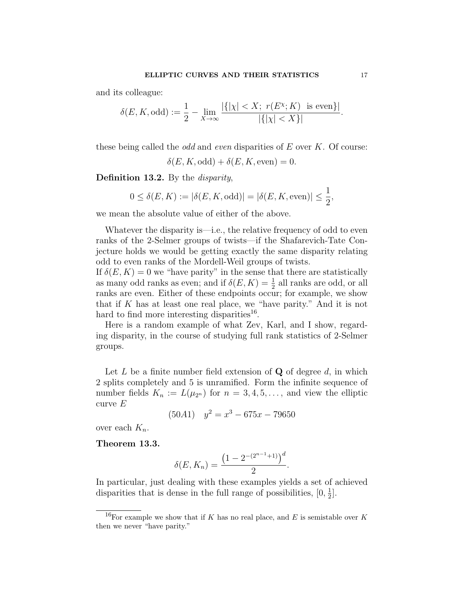and its colleague:

$$
\delta(E, K, \text{odd}) := \frac{1}{2} - \lim_{X \to \infty} \frac{|\{| \chi | < X; \ r(E^{\chi}; K) \text{ is even}\}|}{|\{| \chi | < X\}|}.
$$

these being called the *odd* and *even* disparities of  $E$  over  $K$ . Of course:

 $\delta(E, K, \text{odd}) + \delta(E, K, \text{even}) = 0.$ 

Definition 13.2. By the *disparity*,

$$
0 \le \delta(E, K) := |\delta(E, K, \text{odd})| = |\delta(E, K, \text{even})| \le \frac{1}{2},
$$

we mean the absolute value of either of the above.

Whatever the disparity is—i.e., the relative frequency of odd to even ranks of the 2-Selmer groups of twists—if the Shafarevich-Tate Conjecture holds we would be getting exactly the same disparity relating odd to even ranks of the Mordell-Weil groups of twists.

If  $\delta(E, K) = 0$  we "have parity" in the sense that there are statistically as many odd ranks as even; and if  $\delta(E, K) = \frac{1}{2}$  all ranks are odd, or all ranks are even. Either of these endpoints occur; for example, we show that if  $K$  has at least one real place, we "have parity." And it is not hard to find more interesting disparities<sup>16</sup>.

Here is a random example of what Zev, Karl, and I show, regarding disparity, in the course of studying full rank statistics of 2-Selmer groups.

Let L be a finite number field extension of  $Q$  of degree  $d$ , in which 2 splits completely and 5 is unramified. Form the infinite sequence of number fields  $K_n := L(\mu_{2^n})$  for  $n = 3, 4, 5, \ldots$ , and view the elliptic curve E

$$
(50A1) \quad y^2 = x^3 - 675x - 79650
$$

over each  $K_n$ .

Theorem 13.3.

$$
\delta(E, K_n) = \frac{\left(1 - 2^{-(2^{n-1}+1)}\right)^d}{2}
$$

.

In particular, just dealing with these examples yields a set of achieved disparities that is dense in the full range of possibilities,  $[0, \frac{1}{2}]$  $\frac{1}{2}$ .

<sup>&</sup>lt;sup>16</sup>For example we show that if K has no real place, and E is semistable over K then we never "have parity."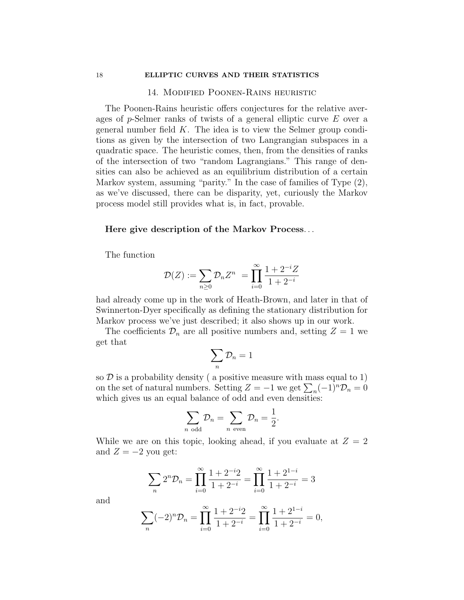#### 14. Modified Poonen-Rains heuristic

The Poonen-Rains heuristic offers conjectures for the relative averages of p-Selmer ranks of twists of a general elliptic curve E over a general number field  $K$ . The idea is to view the Selmer group conditions as given by the intersection of two Langrangian subspaces in a quadratic space. The heuristic comes, then, from the densities of ranks of the intersection of two "random Lagrangians." This range of densities can also be achieved as an equilibrium distribution of a certain Markov system, assuming "parity." In the case of families of Type (2), as we've discussed, there can be disparity, yet, curiously the Markov process model still provides what is, in fact, provable.

### Here give description of the Markov Process. . .

The function

$$
\mathcal{D}(Z) := \sum_{n\geq 0} \mathcal{D}_n Z^n = \prod_{i=0}^{\infty} \frac{1 + 2^{-i}Z}{1 + 2^{-i}}
$$

had already come up in the work of Heath-Brown, and later in that of Swinnerton-Dyer specifically as defining the stationary distribution for Markov process we've just described; it also shows up in our work.

The coefficients  $\mathcal{D}_n$  are all positive numbers and, setting  $Z = 1$  we get that

$$
\sum_n \mathcal{D}_n = 1
$$

so  $D$  is a probability density (a positive measure with mass equal to 1) on the set of natural numbers. Setting  $Z = -1$  we get  $\sum_{n} (-1)^{n} \mathcal{D}_{n} = 0$ which gives us an equal balance of odd and even densities:

$$
\sum_{n \text{ odd}} \mathcal{D}_n = \sum_{n \text{ even}} \mathcal{D}_n = \frac{1}{2}.
$$

While we are on this topic, looking ahead, if you evaluate at  $Z = 2$ and  $Z = -2$  you get:

$$
\sum_{n} 2^{n} \mathcal{D}_{n} = \prod_{i=0}^{\infty} \frac{1 + 2^{-i} 2}{1 + 2^{-i}} = \prod_{i=0}^{\infty} \frac{1 + 2^{1-i}}{1 + 2^{-i}} = 3
$$

and

$$
\sum_{n} (-2)^{n} \mathcal{D}_{n} = \prod_{i=0}^{\infty} \frac{1+2^{-i}2}{1+2^{-i}} = \prod_{i=0}^{\infty} \frac{1+2^{1-i}}{1+2^{-i}} = 0,
$$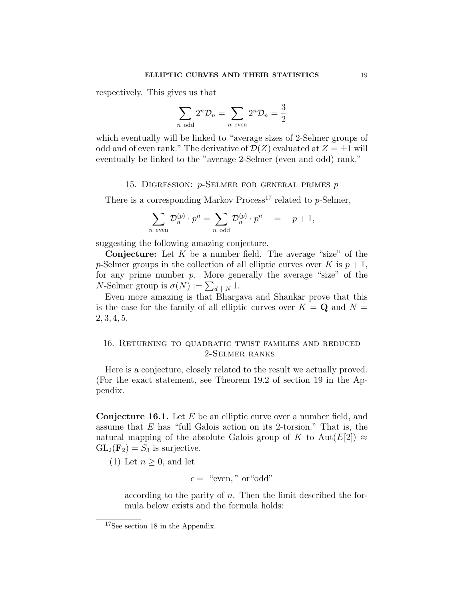respectively. This gives us that

$$
\sum_{n \text{ odd}} 2^n \mathcal{D}_n = \sum_{n \text{ even}} 2^n \mathcal{D}_n = \frac{3}{2}
$$

which eventually will be linked to "average sizes of 2-Selmer groups of odd and of even rank." The derivative of  $\mathcal{D}(Z)$  evaluated at  $Z = \pm 1$  will eventually be linked to the "average 2-Selmer (even and odd) rank."

# 15. DIGRESSION:  $p$ -Selmer for general primes  $p$

There is a corresponding Markov Process<sup>17</sup> related to  $p$ -Selmer,

$$
\sum_{n \text{ even}} \mathcal{D}_n^{(p)} \cdot p^n = \sum_{n \text{ odd}} \mathcal{D}_n^{(p)} \cdot p^n = p+1,
$$

suggesting the following amazing conjecture.

**Conjecture:** Let  $K$  be a number field. The average "size" of the p-Selmer groups in the collection of all elliptic curves over K is  $p + 1$ , for any prime number  $p$ . More generally the average "size" of the *N*-Selmer group is  $\sigma(N) := \sum_{d \mid N} 1$ .

Even more amazing is that Bhargava and Shankar prove that this is the case for the family of all elliptic curves over  $K = \mathbf{Q}$  and  $N =$ 2, 3, 4, 5.

## 16. Returning to quadratic twist families and reduced 2-Selmer ranks

Here is a conjecture, closely related to the result we actually proved. (For the exact statement, see Theorem 19.2 of section 19 in the Appendix.

**Conjecture 16.1.** Let  $E$  be an elliptic curve over a number field, and assume that E has "full Galois action on its 2-torsion." That is, the natural mapping of the absolute Galois group of K to Aut(E[2])  $\approx$  $GL_2(\mathbf{F}_2) = S_3$  is surjective.

(1) Let  $n \geq 0$ , and let

$$
\epsilon = \text{``even''} \text{ or ``odd''}
$$

according to the parity of  $n$ . Then the limit described the formula below exists and the formula holds:

<sup>17</sup>See section 18 in the Appendix.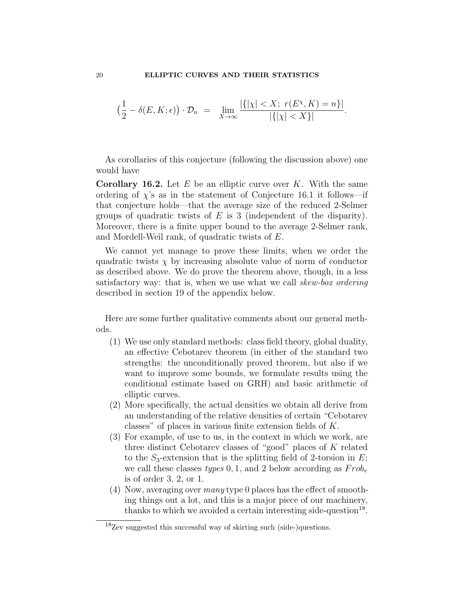$$
\left(\frac{1}{2}-\delta(E,K;\epsilon)\right)\cdot\mathcal{D}_n = \lim_{X\to\infty} \frac{|\{| \chi | < X;\ r(E^{\chi},K)=n\}|}{|\{| \chi | < X\}|}.
$$

As corollaries of this conjecture (following the discussion above) one would have

**Corollary 16.2.** Let  $E$  be an elliptic curve over  $K$ . With the same ordering of  $\chi$ 's as in the statement of Conjecture 16.1 it follows—if that conjecture holds—that the average size of the reduced 2-Selmer groups of quadratic twists of  $E$  is 3 (independent of the disparity). Moreover, there is a finite upper bound to the average 2-Selmer rank, and Mordell-Weil rank, of quadratic twists of E.

We cannot yet manage to prove these limits, when we order the quadratic twists  $\chi$  by increasing absolute value of norm of conductor as described above. We do prove the theorem above, though, in a less satisfactory way: that is, when we use what we call skew-box ordering described in section 19 of the appendix below.

Here are some further qualitative comments about our general methods.

- (1) We use only standard methods: class field theory, global duality, an effective Cebotarev theorem (in either of the standard two strengths: the unconditionally proved theorem, but also if we want to improve some bounds, we formulate results using the conditional estimate based on GRH) and basic arithmetic of elliptic curves.
- (2) More specifically, the actual densities we obtain all derive from an understanding of the relative densities of certain "Cebotarev classes" of places in various finite extension fields of K.
- (3) For example, of use to us, in the context in which we work, are three distinct Cebotarev classes of "good" places of K related to the  $S_3$ -extension that is the splitting field of 2-torsion in E; we call these classes types 0, 1, and 2 below according as  $Frob_v$ is of order 3, 2, or 1.
- (4) Now, averaging over many type 0 places has the effect of smoothing things out a lot, and this is a major piece of our machinery, thanks to which we avoided a certain interesting side-question $^{18}$ .

<sup>18</sup>Zev suggested this successful way of skirting such (side-)questions.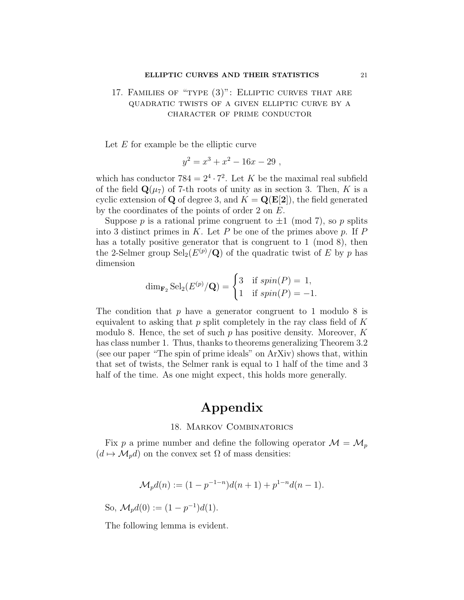# 17. Families of "type (3)": Elliptic curves that are quadratic twists of a given elliptic curve by a character of prime conductor

Let  $E$  for example be the elliptic curve

$$
y^2 = x^3 + x^2 - 16x - 29,
$$

which has conductor  $784 = 2^4 \cdot 7^2$ . Let K be the maximal real subfield of the field  $\mathbf{Q}(\mu_7)$  of 7-th roots of unity as in section 3. Then, K is a cyclic extension of Q of degree 3, and  $K = \mathbf{Q}(\mathbf{E}[2])$ , the field generated by the coordinates of the points of order 2 on E.

Suppose p is a rational prime congruent to  $\pm 1 \pmod{7}$ , so p splits into 3 distinct primes in K. Let P be one of the primes above p. If  $P$ has a totally positive generator that is congruent to 1 (mod 8), then the 2-Selmer group  $\text{Sel}_2(E^{(p)}/\mathbf{Q})$  of the quadratic twist of E by p has dimension

$$
\dim_{\mathbf{F}_2} \mathrm{Sel}_2(E^{(p)}/\mathbf{Q}) = \begin{cases} 3 & \text{if } spin(P) = 1, \\ 1 & \text{if } spin(P) = -1. \end{cases}
$$

The condition that  $p$  have a generator congruent to 1 modulo 8 is equivalent to asking that  $p$  split completely in the ray class field of  $K$ modulo 8. Hence, the set of such  $p$  has positive density. Moreover,  $K$ has class number 1. Thus, thanks to theorems generalizing Theorem 3.2 (see our paper "The spin of prime ideals" on ArXiv) shows that, within that set of twists, the Selmer rank is equal to 1 half of the time and 3 half of the time. As one might expect, this holds more generally.

# Appendix

### 18. Markov Combinatorics

Fix p a prime number and define the following operator  $\mathcal{M} = \mathcal{M}_p$  $(d \mapsto \mathcal{M}_p d)$  on the convex set  $\Omega$  of mass densities:

$$
\mathcal{M}_p d(n) := (1 - p^{-1-n})d(n+1) + p^{1-n}d(n-1).
$$

So,  $\mathcal{M}_p d(0) := (1 - p^{-1})d(1).$ 

The following lemma is evident.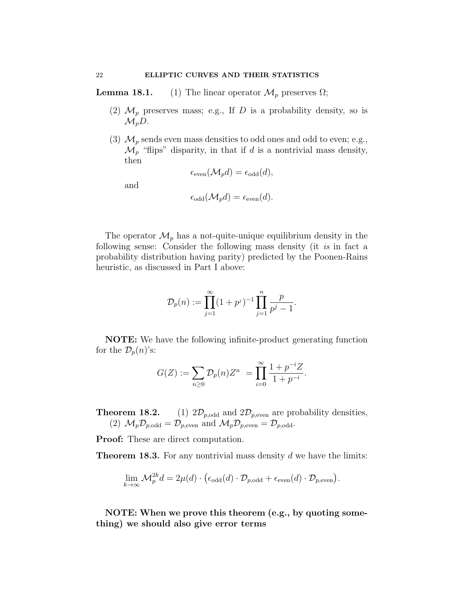**Lemma 18.1.** (1) The linear operator  $\mathcal{M}_p$  preserves  $\Omega$ ;

- (2)  $\mathcal{M}_p$  preserves mass; e.g., If D is a probability density, so is  $\mathcal{M}_nD$ .
- (3)  $\mathcal{M}_p$  sends even mass densities to odd ones and odd to even; e.g.,  $\mathcal{M}_p$  "flips" disparity, in that if d is a nontrivial mass density, then  $(14d)$   $(3)$

$$
\epsilon_{\text{even}}(\mathcal{M}_p d) = \epsilon_{\text{odd}}(d)
$$

and

$$
\epsilon_{\text{odd}}(\mathcal{M}_p d) = \epsilon_{\text{even}}(d).
$$

The operator  $\mathcal{M}_p$  has a not-quite-unique equilibrium density in the following sense: Consider the following mass density (it is in fact a probability distribution having parity) predicted by the Poonen-Rains heuristic, as discussed in Part I above:

$$
\mathcal{D}_p(n) := \prod_{j=1}^{\infty} (1 + p^j)^{-1} \prod_{j=1}^n \frac{p}{p^j - 1}
$$

.

NOTE: We have the following infinite-product generating function for the  $\mathcal{D}_p(n)$ 's:

$$
G(Z) := \sum_{n\geq 0} \mathcal{D}_p(n) Z^n = \prod_{i=0}^{\infty} \frac{1 + p^{-i} Z}{1 + p^{-i}}.
$$

**Theorem 18.2.** (1)  $2\mathcal{D}_{p,\text{odd}}$  and  $2\mathcal{D}_{p,\text{even}}$  are probability densities, (2)  $\mathcal{M}_p \mathcal{D}_{p, \text{odd}} = \mathcal{D}_{p, \text{even}}$  and  $\mathcal{M}_p \mathcal{D}_{p, \text{even}} = \mathcal{D}_{p, \text{odd}}$ .

Proof: These are direct computation.

**Theorem 18.3.** For any nontrivial mass density  $d$  we have the limits:

$$
\lim_{k \to \infty} \mathcal{M}_p^{2k} d = 2\mu(d) \cdot (\epsilon_{\text{odd}}(d) \cdot \mathcal{D}_{p, \text{odd}} + \epsilon_{\text{even}}(d) \cdot \mathcal{D}_{p, \text{even}}).
$$

NOTE: When we prove this theorem (e.g., by quoting something) we should also give error terms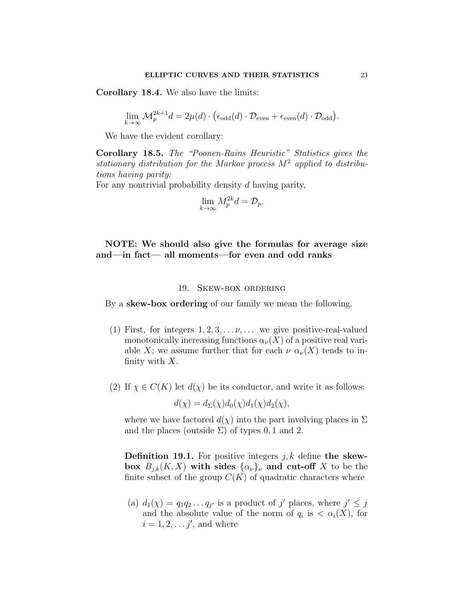Corollary 18.4. We also have the limits:

$$
\lim_{k \to \infty} \mathcal{M}_p^{2k+1} d = 2\mu(d) \cdot (\epsilon_{\text{odd}}(d) \cdot \mathcal{D}_{\text{even}} + \epsilon_{\text{even}}(d) \cdot \mathcal{D}_{\text{odd}}).
$$

We have the evident corollary:

Corollary 18.5. The "Poonen-Rains Heuristic" Statistics gives the stationary distribution for the Markov process  $M^2$  applied to distributions having parity:

For any nontrivial probability density d having parity,

$$
\lim_{k \to \infty} M_p^{2k} d = \mathcal{D}_p.
$$

# NOTE: We should also give the formulas for average size and—in fact— all moments—for even and odd ranks

### 19. Skew-box ordering

By a **skew-box ordering** of our family we mean the following.

- (1) First, for integers  $1, 2, 3, \ldots \nu, \ldots$  we give positive-real-valued monotonically increasing functions  $\alpha_{\nu}(X)$  of a positive real variable X; we assume further that for each  $\nu \alpha_{\nu}(X)$  tends to infinity with  $X$ .
- (2) If  $\chi \in C(K)$  let  $d(\chi)$  be its conductor, and write it as follows:

$$
d(\chi) = d_{\Sigma}(\chi) d_0(\chi) d_1(\chi) d_2(\chi),
$$

where we have factored  $d(\chi)$  into the part involving places in  $\Sigma$ and the places (outside  $\Sigma$ ) of types 0, 1 and 2.

**Definition 19.1.** For positive integers  $j, k$  define the skewbox  $B_{j,k}(K, X)$  with sides  $\{\alpha_{\nu}\}_{\nu}$  and cut-off X to be the finite subset of the group  $C(K)$  of quadratic characters where

(a)  $d_1(\chi) = q_1 q_2 \dots q_{j'}$  is a product of j' places, where  $j' \leq j$ and the absolute value of the norm of  $q_i$  is  $\langle \alpha_i(X), \text{ for }$  $i = 1, 2, \ldots j'$ , and where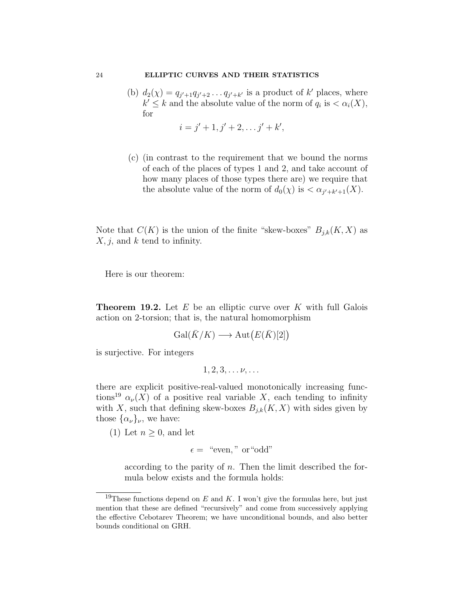(b)  $d_2(\chi) = q_{j'+1}q_{j'+2} \ldots q_{j'+k'}$  is a product of k' places, where  $k' \leq k$  and the absolute value of the norm of  $q_i$  is  $\langle \alpha_i(X), \alpha_i(X) \rangle$ for

$$
i = j' + 1, j' + 2, \ldots j' + k',
$$

(c) (in contrast to the requirement that we bound the norms of each of the places of types 1 and 2, and take account of how many places of those types there are) we require that the absolute value of the norm of  $d_0(\chi)$  is  $\langle \alpha_{j'+k'+1}(X) \rangle$ .

Note that  $C(K)$  is the union of the finite "skew-boxes"  $B_{j,k}(K, X)$  as  $X, j$ , and k tend to infinity.

Here is our theorem:

**Theorem 19.2.** Let  $E$  be an elliptic curve over  $K$  with full Galois action on 2-torsion; that is, the natural homomorphism

$$
\operatorname{Gal}(\bar{K}/K) \longrightarrow \operatorname{Aut}(E(\bar{K})[2])
$$

is surjective. For integers

$$
1, 2, 3, \ldots \nu, \ldots
$$

there are explicit positive-real-valued monotonically increasing functions<sup>19</sup>  $\alpha_{\nu}(X)$  of a positive real variable X, each tending to infinity with X, such that defining skew-boxes  $B_{j,k}(K, X)$  with sides given by those  $\{\alpha_{\nu}\}_{\nu}$ , we have:

(1) Let  $n \geq 0$ , and let

$$
\epsilon = \text{``even''} \text{ or ``odd''}
$$

according to the parity of  $n$ . Then the limit described the formula below exists and the formula holds:

<sup>&</sup>lt;sup>19</sup>These functions depend on E and K. I won't give the formulas here, but just mention that these are defined "recursively" and come from successively applying the effective Cebotarev Theorem; we have unconditional bounds, and also better bounds conditional on GRH.